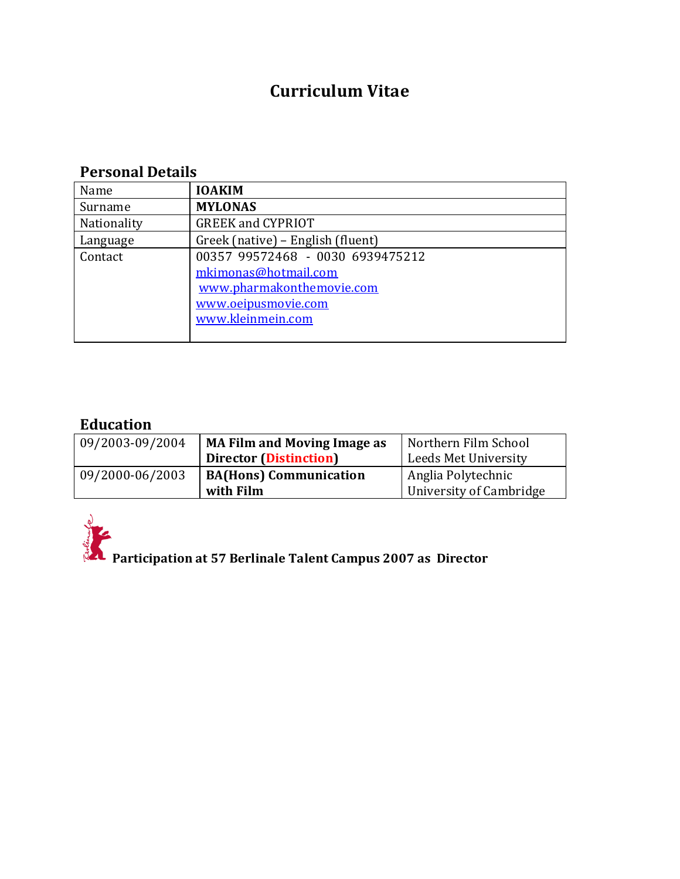# **Curriculum Vitae**

# **Personal Details**

| Name        | <b>IOAKIM</b>                     |
|-------------|-----------------------------------|
| Surname     | <b>MYLONAS</b>                    |
| Nationality | <b>GREEK and CYPRIOT</b>          |
| Language    | Greek (native) – English (fluent) |
| Contact     | 00357 99572468 - 0030 6939475212  |
|             | mkimonas@hotmail.com              |
|             | www.pharmakonthemovie.com         |
|             | www.oeipusmovie.com               |
|             | www.kleinmein.com                 |
|             |                                   |

# **Education**

| 09/2003-09/2004 | <b>MA Film and Moving Image as</b> | Northern Film School    |
|-----------------|------------------------------------|-------------------------|
|                 | <b>Director (Distinction)</b>      | Leeds Met University    |
| 09/2000-06/2003 | <b>BA(Hons)</b> Communication      | Anglia Polytechnic      |
|                 | with Film                          | University of Cambridge |



**Participation at 57 Berlinale Talent Campus 2007 as Director**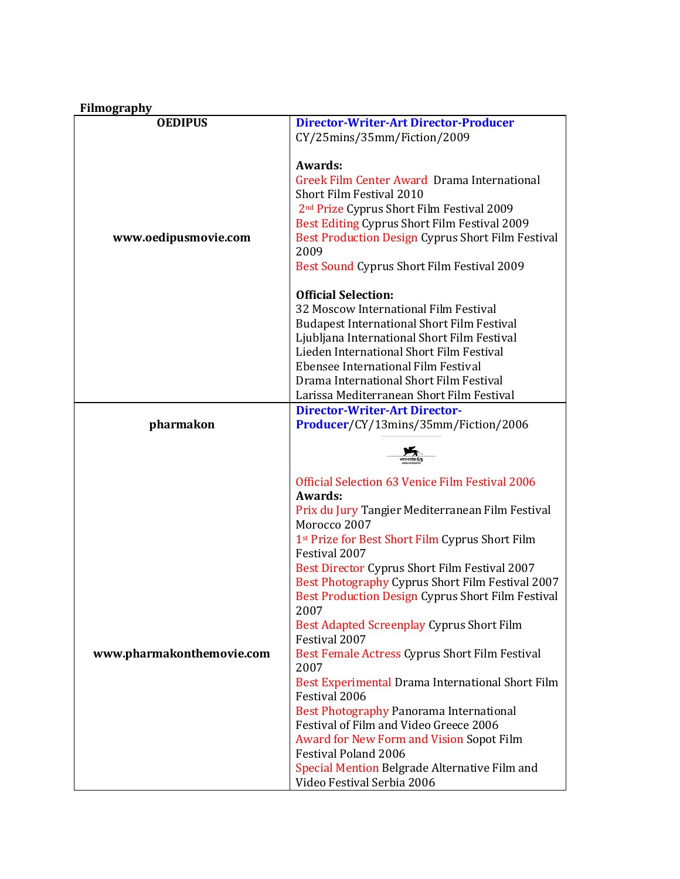|  | <b>Filmography</b> |
|--|--------------------|
|  |                    |

| <b>OEDIPUS</b>            | <b>Director-Writer-Art Director-Producer</b>                     |
|---------------------------|------------------------------------------------------------------|
|                           | CY/25mins/35mm/Fiction/2009                                      |
|                           |                                                                  |
|                           | Awards:                                                          |
|                           | Greek Film Center Award Drama International                      |
|                           | Short Film Festival 2010                                         |
|                           | 2 <sup>nd</sup> Prize Cyprus Short Film Festival 2009            |
|                           | Best Editing Cyprus Short Film Festival 2009                     |
| www.oedipusmovie.com      | Best Production Design Cyprus Short Film Festival                |
|                           | 2009                                                             |
|                           | Best Sound Cyprus Short Film Festival 2009                       |
|                           | <b>Official Selection:</b>                                       |
|                           | 32 Moscow International Film Festival                            |
|                           | <b>Budapest International Short Film Festival</b>                |
|                           | Ljubljana International Short Film Festival                      |
|                           | Lieden International Short Film Festival                         |
|                           | Ebensee International Film Festival                              |
|                           | Drama International Short Film Festival                          |
|                           | Larissa Mediterranean Short Film Festival                        |
|                           | <b>Director-Writer-Art Director-</b>                             |
| pharmakon                 | Producer/CY/13mins/35mm/Fiction/2006                             |
|                           |                                                                  |
|                           |                                                                  |
|                           | Official Selection 63 Venice Film Festival 2006                  |
|                           | Awards:                                                          |
|                           | Prix du Jury Tangier Mediterranean Film Festival<br>Morocco 2007 |
|                           | 1st Prize for Best Short Film Cyprus Short Film                  |
|                           | Festival 2007                                                    |
|                           | Best Director Cyprus Short Film Festival 2007                    |
|                           | Best Photography Cyprus Short Film Festival 2007                 |
|                           | Best Production Design Cyprus Short Film Festival                |
|                           | 2007                                                             |
|                           | Best Adapted Screenplay Cyprus Short Film                        |
|                           | Festival 2007                                                    |
| www.pharmakonthemovie.com | Best Female Actress Cyprus Short Film Festival<br>2007           |
|                           | Best Experimental Drama International Short Film                 |
|                           | Festival 2006                                                    |
|                           | Best Photography Panorama International                          |
|                           | Festival of Film and Video Greece 2006                           |
|                           | Award for New Form and Vision Sopot Film                         |
|                           | <b>Festival Poland 2006</b>                                      |
|                           | Special Mention Belgrade Alternative Film and                    |
|                           | Video Festival Serbia 2006                                       |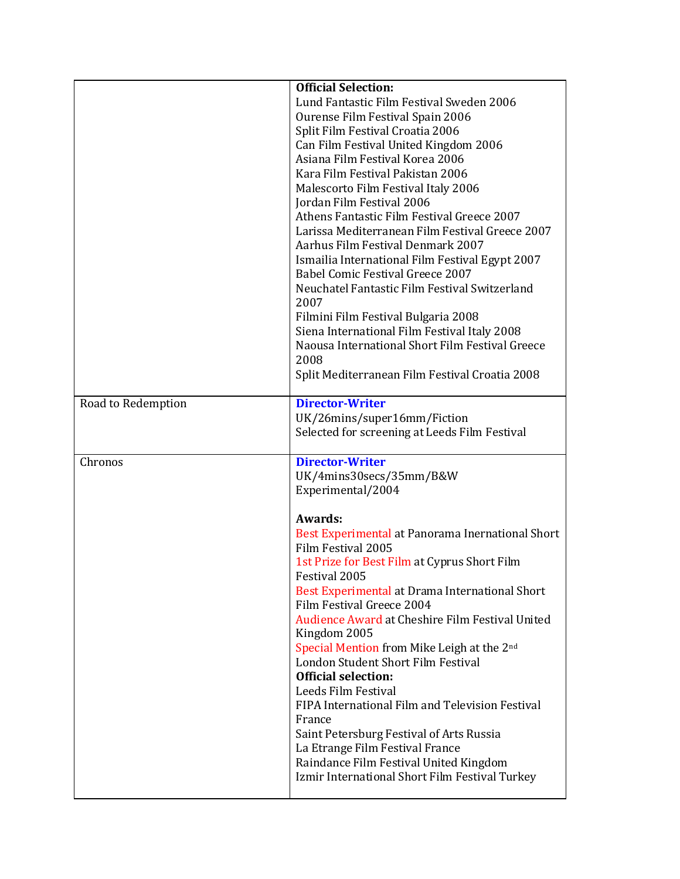|                    | <b>Official Selection:</b>                                                               |
|--------------------|------------------------------------------------------------------------------------------|
|                    | Lund Fantastic Film Festival Sweden 2006                                                 |
|                    | Ourense Film Festival Spain 2006                                                         |
|                    | Split Film Festival Croatia 2006                                                         |
|                    | Can Film Festival United Kingdom 2006                                                    |
|                    | Asiana Film Festival Korea 2006                                                          |
|                    | Kara Film Festival Pakistan 2006                                                         |
|                    |                                                                                          |
|                    | Malescorto Film Festival Italy 2006                                                      |
|                    | Jordan Film Festival 2006                                                                |
|                    | Athens Fantastic Film Festival Greece 2007                                               |
|                    | Larissa Mediterranean Film Festival Greece 2007                                          |
|                    | Aarhus Film Festival Denmark 2007                                                        |
|                    | Ismailia International Film Festival Egypt 2007                                          |
|                    | Babel Comic Festival Greece 2007                                                         |
|                    | Neuchatel Fantastic Film Festival Switzerland                                            |
|                    | 2007                                                                                     |
|                    | Filmini Film Festival Bulgaria 2008                                                      |
|                    | Siena International Film Festival Italy 2008                                             |
|                    | Naousa International Short Film Festival Greece                                          |
|                    | 2008                                                                                     |
|                    | Split Mediterranean Film Festival Croatia 2008                                           |
|                    |                                                                                          |
| Road to Redemption | <b>Director-Writer</b>                                                                   |
|                    | UK/26mins/super16mm/Fiction                                                              |
|                    | Selected for screening at Leeds Film Festival                                            |
|                    |                                                                                          |
| Chronos            | <b>Director-Writer</b>                                                                   |
|                    | UK/4mins30secs/35mm/B&W                                                                  |
|                    |                                                                                          |
|                    |                                                                                          |
|                    | Experimental/2004                                                                        |
|                    | Awards:                                                                                  |
|                    |                                                                                          |
|                    | Best Experimental at Panorama Inernational Short                                         |
|                    | Film Festival 2005                                                                       |
|                    | 1st Prize for Best Film at Cyprus Short Film                                             |
|                    | Festival 2005                                                                            |
|                    | Best Experimental at Drama International Short                                           |
|                    | Film Festival Greece 2004                                                                |
|                    | Audience Award at Cheshire Film Festival United                                          |
|                    | Kingdom 2005                                                                             |
|                    | Special Mention from Mike Leigh at the 2nd                                               |
|                    | London Student Short Film Festival                                                       |
|                    | <b>Official selection:</b>                                                               |
|                    | Leeds Film Festival                                                                      |
|                    | FIPA International Film and Television Festival                                          |
|                    | France                                                                                   |
|                    | Saint Petersburg Festival of Arts Russia                                                 |
|                    | La Etrange Film Festival France                                                          |
|                    |                                                                                          |
|                    | Raindance Film Festival United Kingdom<br>Izmir International Short Film Festival Turkey |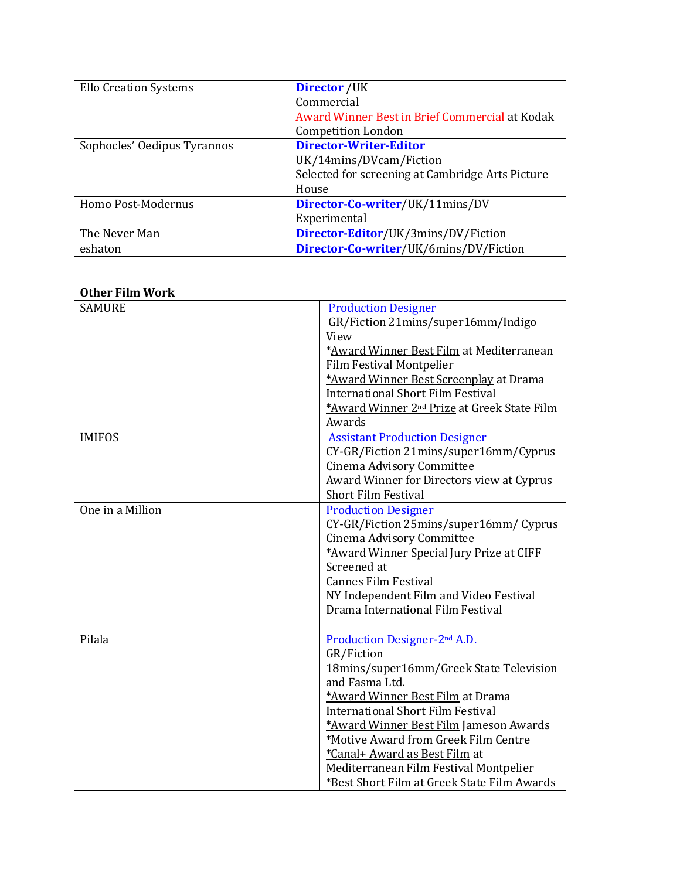| <b>Ello Creation Systems</b> | <b>Director</b> /UK                              |
|------------------------------|--------------------------------------------------|
|                              | Commercial                                       |
|                              | Award Winner Best in Brief Commercial at Kodak   |
|                              | <b>Competition London</b>                        |
| Sophocles' Oedipus Tyrannos  | <b>Director-Writer-Editor</b>                    |
|                              | UK/14mins/DVcam/Fiction                          |
|                              | Selected for screening at Cambridge Arts Picture |
|                              | House                                            |
| Homo Post-Modernus           | Director-Co-writer/UK/11mins/DV                  |
|                              | Experimental                                     |
| The Never Man                | Director-Editor/UK/3mins/DV/Fiction              |
| eshaton                      | Director-Co-writer/UK/6mins/DV/Fiction           |

#### **Other Film Work**

| <b>SAMURE</b><br><b>IMIFOS</b> | <b>Production Designer</b><br>GR/Fiction 21mins/super16mm/Indigo<br>View<br>*Award Winner Best Film at Mediterranean<br><b>Film Festival Montpelier</b><br>*Award Winner Best Screenplay at Drama<br><b>International Short Film Festival</b><br>*Award Winner 2 <sup>nd</sup> Prize at Greek State Film<br>Awards                                                                                              |
|--------------------------------|-----------------------------------------------------------------------------------------------------------------------------------------------------------------------------------------------------------------------------------------------------------------------------------------------------------------------------------------------------------------------------------------------------------------|
|                                | <b>Assistant Production Designer</b><br>CY-GR/Fiction 21mins/super16mm/Cyprus<br>Cinema Advisory Committee<br>Award Winner for Directors view at Cyprus<br><b>Short Film Festival</b>                                                                                                                                                                                                                           |
| One in a Million               | <b>Production Designer</b><br>CY-GR/Fiction 25mins/super16mm/ Cyprus<br>Cinema Advisory Committee<br>*Award Winner Special Jury Prize at CIFF<br>Screened at<br><b>Cannes Film Festival</b><br>NY Independent Film and Video Festival<br>Drama International Film Festival                                                                                                                                      |
| Pilala                         | Production Designer-2 <sup>nd</sup> A.D.<br>GR/Fiction<br>18mins/super16mm/Greek State Television<br>and Fasma Ltd.<br>*Award Winner Best Film at Drama<br><b>International Short Film Festival</b><br>*Award Winner Best Film Jameson Awards<br>*Motive Award from Greek Film Centre<br>*Canal+ Award as Best Film at<br>Mediterranean Film Festival Montpelier<br>*Best Short Film at Greek State Film Awards |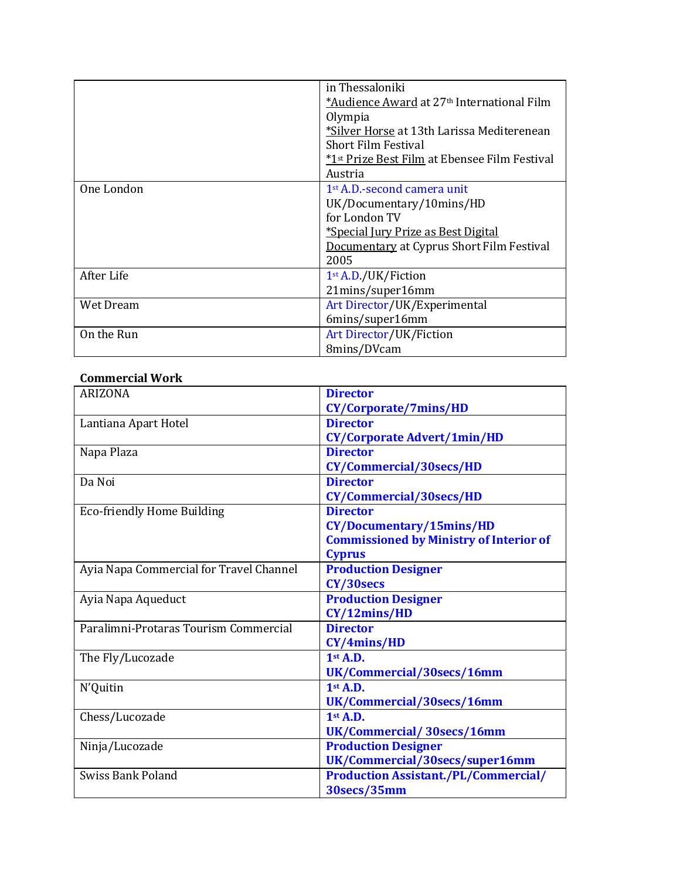|            | in Thessaloniki                                        |
|------------|--------------------------------------------------------|
|            | *Audience Award at 27 <sup>th</sup> International Film |
|            | Olympia                                                |
|            | *Silver Horse at 13th Larissa Mediterenean             |
|            | <b>Short Film Festival</b>                             |
|            | *1st Prize Best Film at Ebensee Film Festival          |
|            | Austria                                                |
| One London | 1 <sup>st</sup> A.D.-second camera unit                |
|            | UK/Documentary/10mins/HD                               |
|            | for London TV                                          |
|            | <u>*Special Jury Prize as Best Digital</u>             |
|            | Documentary at Cyprus Short Film Festival              |
|            | 2005                                                   |
| After Life | 1st A.D./UK/Fiction                                    |
|            | 21mins/super16mm                                       |
| Wet Dream  | Art Director/UK/Experimental                           |
|            | 6mins/super16mm                                        |
| On the Run | Art Director/UK/Fiction                                |
|            | 8mins/DVcam                                            |

### **Commercial Work**

| <b>ARIZONA</b>                          | <b>Director</b>                                |
|-----------------------------------------|------------------------------------------------|
|                                         | CY/Corporate/7mins/HD                          |
| Lantiana Apart Hotel                    | <b>Director</b>                                |
|                                         | <b>CY/Corporate Advert/1min/HD</b>             |
| Napa Plaza                              | <b>Director</b>                                |
|                                         | CY/Commercial/30secs/HD                        |
| Da Noi                                  | <b>Director</b>                                |
|                                         | CY/Commercial/30secs/HD                        |
| <b>Eco-friendly Home Building</b>       | <b>Director</b>                                |
|                                         | CY/Documentary/15mins/HD                       |
|                                         | <b>Commissioned by Ministry of Interior of</b> |
|                                         | <b>Cyprus</b>                                  |
| Ayia Napa Commercial for Travel Channel | <b>Production Designer</b>                     |
|                                         | CY/30secs                                      |
| Ayia Napa Aqueduct                      | <b>Production Designer</b>                     |
|                                         | CY/12mins/HD                                   |
| Paralimni-Protaras Tourism Commercial   | <b>Director</b>                                |
|                                         | CY/4mins/HD                                    |
| The Fly/Lucozade                        | $1st$ A.D.                                     |
|                                         | UK/Commercial/30secs/16mm                      |
| N'Quitin                                | $1st$ A.D.                                     |
|                                         | UK/Commercial/30secs/16mm                      |
| Chess/Lucozade                          | $1st$ A.D.                                     |
|                                         | UK/Commercial/30secs/16mm                      |
| Ninja/Lucozade                          | <b>Production Designer</b>                     |
|                                         | UK/Commercial/30secs/super16mm                 |
| <b>Swiss Bank Poland</b>                | <b>Production Assistant./PL/Commercial/</b>    |
|                                         | 30secs/35mm                                    |